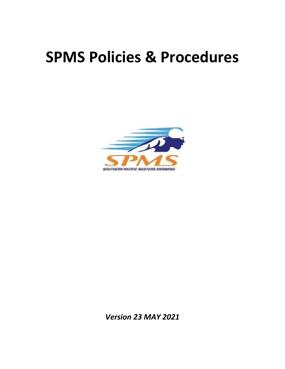# **SPMS Policies & Procedures**



*Version 23 MAY 2021*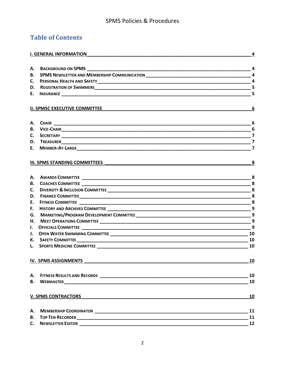# **Table of Contents**

| I. GENERAL INFORMATION <b>And Construction Construction Construction Construction</b> |                                           | 4                       |
|---------------------------------------------------------------------------------------|-------------------------------------------|-------------------------|
|                                                                                       |                                           |                         |
| В.                                                                                    |                                           |                         |
| <b>C.</b>                                                                             |                                           |                         |
|                                                                                       |                                           |                         |
|                                                                                       |                                           | 5                       |
|                                                                                       | <b>II. SPMSC EXECUTIVE COMMITTEE</b>      | 6                       |
|                                                                                       |                                           |                         |
|                                                                                       |                                           |                         |
|                                                                                       |                                           | 6                       |
|                                                                                       |                                           | $\overline{\mathbf{z}}$ |
|                                                                                       |                                           | $\overline{7}$          |
|                                                                                       | <b>III. SPMS STANDING COMMITTEES</b>      | $\mathbf{8}$            |
|                                                                                       |                                           |                         |
| <b>B.</b>                                                                             |                                           |                         |
| C.                                                                                    |                                           |                         |
|                                                                                       |                                           |                         |
| E.                                                                                    |                                           |                         |
| F.                                                                                    |                                           | 9                       |
| G.                                                                                    |                                           |                         |
|                                                                                       |                                           |                         |
|                                                                                       |                                           |                         |
|                                                                                       |                                           |                         |
|                                                                                       |                                           |                         |
|                                                                                       | <b>L.</b> SPORTS MEDICINE COMMITTEE 10 10 |                         |
|                                                                                       | IV. SPMS ASSIGNMENTS                      | 10                      |
|                                                                                       |                                           | 10                      |
| <b>B.</b>                                                                             |                                           | 10                      |
|                                                                                       | <b>V. SPMS CONTRACTORS</b>                | 10                      |
| А.                                                                                    |                                           | 11                      |
| В.                                                                                    |                                           | 11                      |
|                                                                                       | <b>C.</b> NEWSLETTER EDITOR               | 12                      |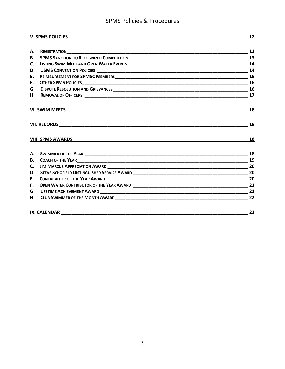# **SPMS Policies & Procedures**

 $12$ 

#### V. SPMS POLICIES

| А.                  |                          | - 12 |
|---------------------|--------------------------|------|
|                     |                          |      |
| C.                  |                          |      |
|                     |                          |      |
| E.                  |                          |      |
| F.                  |                          |      |
|                     |                          |      |
|                     |                          |      |
|                     | <b>VI. SWIM MEETS</b>    | 18   |
| <b>VII. RECORDS</b> |                          | 18   |
|                     | <b>VIII. SPMS AWARDS</b> | 18   |
|                     |                          | 18   |
|                     |                          |      |
|                     |                          |      |
|                     |                          |      |
| E.                  |                          |      |
| F.                  |                          |      |
|                     |                          |      |
|                     |                          |      |
|                     | <b>IX. CALENDAR</b>      | 22   |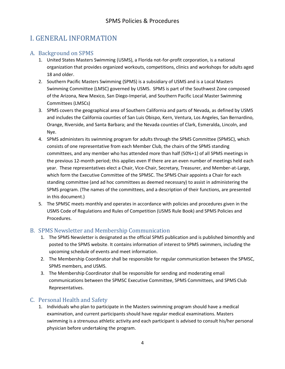# <span id="page-3-0"></span>I. GENERAL INFORMATION

# <span id="page-3-1"></span>A. Background on SPMS

- 1. United States Masters Swimming (USMS), a Florida not-for-profit corporation, is a national organization that provides organized workouts, competitions, clinics and workshops for adults aged 18 and older.
- 2. Southern Pacific Masters Swimming (SPMS) is a subsidiary of USMS and is a Local Masters Swimming Committee (LMSC) governed by USMS. SPMS is part of the Southwest Zone composed of the Arizona, New Mexico, San Diego-Imperial, and Southern Pacific Local Master Swimming Committees (LMSCs)
- 3. SPMS covers the geographical area of Southern California and parts of Nevada, as defined by USMS and includes the California counties of San Luis Obispo, Kern, Ventura, Los Angeles, San Bernardino, Orange, Riverside, and Santa Barbara; and the Nevada counties of Clark, Esmeralda, Lincoln, and Nye.
- 4. SPMS administers its swimming program for adults through the SPMS Committee (SPMSC), which consists of one representative from each Member Club, the chairs of the SPMS standing committees, and any member who has attended more than half (50%+1) of all SPMS meetings in the previous 12‐month period; this applies even If there are an even number of meetings held each year. These representatives elect a Chair, Vice-Chair, Secretary, Treasurer, and Member-at-Large, which form the Executive Committee of the SPMSC. The SPMS Chair appoints a Chair for each standing committee (and ad hoc committees as deemed necessary) to assist in administering the SPMS program. (The names of the committees, and a description of their functions, are presented in this document.)
- 5. The SPMSC meets monthly and operates in accordance with policies and procedures given in the USMS Code of Regulations and Rules of Competition (USMS Rule Book) and SPMS Policies and Procedures.

# <span id="page-3-2"></span>B. SPMS Newsletter and Membership Communication

- 1. The SPMS Newsletter is designated as the official SPMS publication and is published bimonthly and posted to the SPMS website. It contains information of interest to SPMS swimmers, including the upcoming schedule of events and meet information.
- 2. The Membership Coordinator shall be responsible for regular communication between the SPMSC, SPMS members, and USMS.
- 3. The Membership Coordinator shall be responsible for sending and moderating email communications between the SPMSC Executive Committee, SPMS Committees, and SPMS Club Representatives.

# <span id="page-3-3"></span>C. Personal Health and Safety

1. Individuals who plan to participate in the Masters swimming program should have a medical examination, and current participants should have regular medical examinations. Masters swimming is a strenuous athletic activity and each participant is advised to consult his/her personal physician before undertaking the program.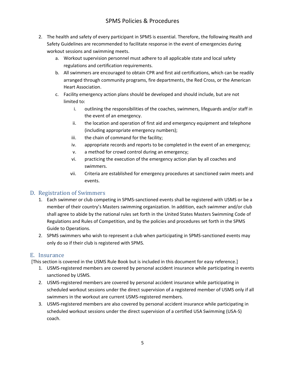- 2. The health and safety of every participant in SPMS is essential. Therefore, the following Health and Safety Guidelines are recommended to facilitate response in the event of emergencies during workout sessions and swimming meets.
	- a. Workout supervision personnel must adhere to all applicable state and local safety regulations and certification requirements.
	- b. All swimmers are encouraged to obtain CPR and first aid certifications, which can be readily arranged through community programs, fire departments, the Red Cross, or the American Heart Association.
	- c. Facility emergency action plans should be developed and should include, but are not limited to:
		- i. outlining the responsibilities of the coaches, swimmers, lifeguards and/or staff in the event of an emergency.
		- ii. the location and operation of first aid and emergency equipment and telephone (including appropriate emergency numbers);
		- iii. the chain of command for the facility;
		- iv. appropriate records and reports to be completed in the event of an emergency;
		- v. a method for crowd control during an emergency;
		- vi. practicing the execution of the emergency action plan by all coaches and swimmers.
		- vii. Criteria are established for emergency procedures at sanctioned swim meets and events.

# <span id="page-4-0"></span>D. Registration of Swimmers

- 1. Each swimmer or club competing in SPMS-sanctioned events shall be registered with USMS or be a member of their country's Masters swimming organization. In addition, each swimmer and/or club shall agree to abide by the national rules set forth in the United States Masters Swimming Code of Regulations and Rules of Competition, and by the policies and procedures set forth in the SPMS Guide to Operations.
- 2. SPMS swimmers who wish to represent a club when participating in SPMS-sanctioned events may only do so if their club is registered with SPMS.

### <span id="page-4-1"></span>E. Insurance

[This section is covered in the USMS Rule Book but is included in this document for easy reference.]

- 1. USMS-registered members are covered by personal accident insurance while participating in events sanctioned by USMS.
- 2. USMS-registered members are covered by personal accident insurance while participating in scheduled workout sessions under the direct supervision of a registered member of USMS only if all swimmers in the workout are current USMS-registered members.
- 3. USMS-registered members are also covered by personal accident insurance while participating in scheduled workout sessions under the direct supervision of a certified USA Swimming (USA-S) coach.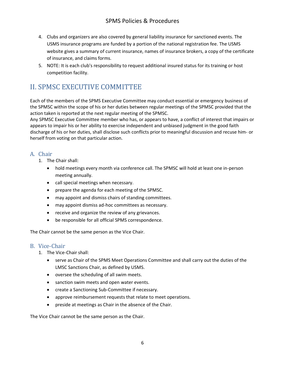- 4. Clubs and organizers are also covered by general liability insurance for sanctioned events. The USMS insurance programs are funded by a portion of the national registration fee. The USMS website gives a summary of current insurance, names of insurance brokers, a copy of the certificate of insurance, and claims forms.
- 5. NOTE: It is each club's responsibility to request additional insured status for its training or host competition facility.

# <span id="page-5-0"></span>II. SPMSC EXECUTIVE COMMITTEE

Each of the members of the SPMS Executive Committee may conduct essential or emergency business of the SPMSC within the scope of his or her duties between regular meetings of the SPMSC provided that the action taken is reported at the next regular meeting of the SPMSC.

Any SPMSC Executive Committee member who has, or appears to have, a conflict of interest that impairs or appears to impair his or her ability to exercise independent and unbiased judgment in the good faith discharge of his or her duties, shall disclose such conflicts prior to meaningful discussion and recuse him- or herself from voting on that particular action.

# <span id="page-5-1"></span>A. Chair

- 1. The Chair shall:
	- hold meetings every month via conference call. The SPMSC will hold at least one in-person meeting annually.
	- call special meetings when necessary.
	- prepare the agenda for each meeting of the SPMSC.
	- may appoint and dismiss chairs of standing committees.
	- may appoint dismiss ad-hoc committees as necessary.
	- receive and organize the review of any grievances.
	- be responsible for all official SPMS correspondence.

The Chair cannot be the same person as the Vice Chair.

### <span id="page-5-2"></span>B. Vice-Chair

- 1. The Vice-Chair shall:
	- serve as Chair of the SPMS Meet Operations Committee and shall carry out the duties of the LMSC Sanctions Chair, as defined by USMS.
	- oversee the scheduling of all swim meets.
	- sanction swim meets and open water events.
	- create a Sanctioning Sub-Committee if necessary.
	- approve reimbursement requests that relate to meet operations.
	- preside at meetings as Chair in the absence of the Chair.

The Vice Chair cannot be the same person as the Chair.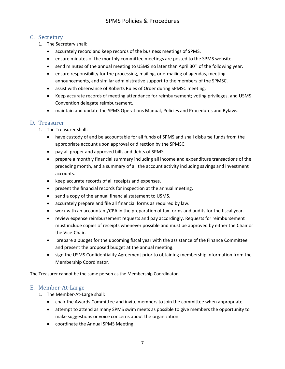# <span id="page-6-0"></span>C. Secretary

- 1. The Secretary shall:
	- accurately record and keep records of the business meetings of SPMS.
	- ensure minutes of the monthly committee meetings are posted to the SPMS website.
	- send minutes of the annual meeting to USMS no later than April 30<sup>th</sup> of the following year.
	- ensure responsibility for the processing, mailing, or e-mailing of agendas, meeting announcements, and similar administrative support to the members of the SPMSC.
	- assist with observance of Roberts Rules of Order during SPMSC meeting.
	- Keep accurate records of meeting attendance for reimbursement; voting privileges, and USMS Convention delegate reimbursement.
	- maintain and update the SPMS Operations Manual, Policies and Procedures and Bylaws.

### <span id="page-6-1"></span>D. Treasurer

- 1. The Treasurer shall:
	- have custody of and be accountable for all funds of SPMS and shall disburse funds from the appropriate account upon approval or direction by the SPMSC.
	- pay all proper and approved bills and debts of SPMS.
	- prepare a monthly financial summary including all income and expenditure transactions of the preceding month, and a summary of all the account activity including savings and investment accounts.
	- keep accurate records of all receipts and expenses.
	- present the financial records for inspection at the annual meeting.
	- send a copy of the annual financial statement to USMS.
	- accurately prepare and file all financial forms as required by law.
	- work with an accountant/CPA in the preparation of tax forms and audits for the fiscal year.
	- review expense reimbursement requests and pay accordingly. Requests for reimbursement must include copies of receipts whenever possible and must be approved by either the Chair or the Vice-Chair.
	- prepare a budget for the upcoming fiscal year with the assistance of the Finance Committee and present the proposed budget at the annual meeting.
	- sign the USMS Confidentiality Agreement prior to obtaining membership information from the Membership Coordinator.

The Treasurer cannot be the same person as the Membership Coordinator.

# <span id="page-6-2"></span>E. Member-At-Large

- 1. The Member-At-Large shall:
	- chair the Awards Committee and invite members to join the committee when appropriate.
	- attempt to attend as many SPMS swim meets as possible to give members the opportunity to make suggestions or voice concerns about the organization.
	- coordinate the Annual SPMS Meeting.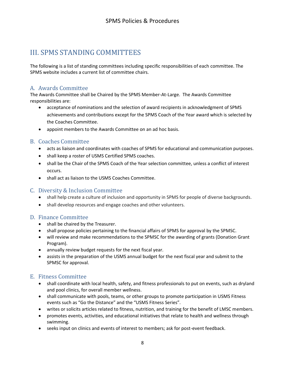# <span id="page-7-0"></span>III. SPMS STANDING COMMITTEES

The following is a list of standing committees including specific responsibilities of each committee. The SPMS website includes a current list of committee chairs.

### <span id="page-7-1"></span>A. Awards Committee

The Awards Committee shall be Chaired by the SPMS Member-At-Large. The Awards Committee responsibilities are:

- acceptance of nominations and the selection of award recipients in acknowledgment of SPMS achievements and contributions except for the SPMS Coach of the Year award which is selected by the Coaches Committee.
- appoint members to the Awards Committee on an ad hoc basis.

### <span id="page-7-2"></span>B. Coaches Committee

- acts as liaison and coordinates with coaches of SPMS for educational and communication purposes.
- shall keep a roster of USMS Certified SPMS coaches.
- shall be the Chair of the SPMS Coach of the Year selection committee, unless a conflict of interest occurs.
- shall act as liaison to the USMS Coaches Committee.

### <span id="page-7-3"></span>C. Diversity & Inclusion Committee

- shall help create a culture of inclusion and opportunity in SPMS for people of diverse backgrounds.
- shall develop resources and engage coaches and other volunteers.

### <span id="page-7-4"></span>D. Finance Committee

- shall be chaired by the Treasurer.
- shall propose policies pertaining to the financial affairs of SPMS for approval by the SPMSC.
- will review and make recommendations to the SPMSC for the awarding of grants (Donation Grant Program).
- annually review budget requests for the next fiscal year.
- assists in the preparation of the USMS annual budget for the next fiscal year and submit to the SPMSC for approval.

### <span id="page-7-5"></span>E. Fitness Committee

- shall coordinate with local health, safety, and fitness professionals to put on events, such as dryland and pool clinics, for overall member wellness.
- shall communicate with pools, teams, or other groups to promote participation in USMS Fitness events such as "Go the Distance" and the "USMS Fitness Series".
- writes or solicits articles related to fitness, nutrition, and training for the benefit of LMSC members.
- promotes events, activities, and educational initiatives that relate to health and wellness through swimming.
- seeks input on clinics and events of interest to members; ask for post-event feedback.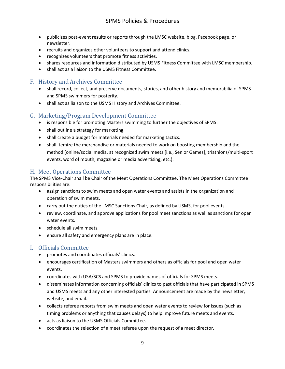- publicizes post-event results or reports through the LMSC website, blog, Facebook page, or newsletter.
- recruits and organizes other volunteers to support and attend clinics.
- recognizes volunteers that promote fitness activities.
- shares resources and information distributed by USMS Fitness Committee with LMSC membership.
- shall act as a liaison to the USMS Fitness Committee.

### <span id="page-8-0"></span>F. History and Archives Committee

- shall record, collect, and preserve documents, stories, and other history and memorabilia of SPMS and SPMS swimmers for posterity.
- shall act as liaison to the USMS History and Archives Committee.

#### <span id="page-8-1"></span>G. Marketing/Program Development Committee

- is responsible for promoting Masters swimming to further the objectives of SPMS.
- shall outline a strategy for marketing.
- shall create a budget for materials needed for marketing tactics.
- shall itemize the merchandise or materials needed to work on boosting membership and the method (online/social media, at recognized swim meets [i.e., Senior Games], triathlons/multi-sport events, word of mouth, magazine or media advertising, etc.).

### <span id="page-8-2"></span>H. Meet Operations Committee

The SPMS Vice-Chair shall be Chair of the Meet Operations Committee. The Meet Operations Committee responsibilities are:

- assign sanctions to swim meets and open water events and assists in the organization and operation of swim meets.
- carry out the duties of the LMSC Sanctions Chair, as defined by USMS, for pool events.
- review, coordinate, and approve applications for pool meet sanctions as well as sanctions for open water events.
- schedule all swim meets.
- ensure all safety and emergency plans are in place.

### <span id="page-8-3"></span>I. Officials Committee

- promotes and coordinates officials' clinics.
- encourages certification of Masters swimmers and others as officials for pool and open water events.
- coordinates with USA/SCS and SPMS to provide names of officials for SPMS meets.
- disseminates information concerning officials' clinics to past officials that have participated in SPMS and USMS meets and any other interested parties. Announcement are made by the newsletter, website, and email.
- collects referee reports from swim meets and open water events to review for issues (such as timing problems or anything that causes delays) to help improve future meets and events.
- acts as liaison to the USMS Officials Committee.
- coordinates the selection of a meet referee upon the request of a meet director.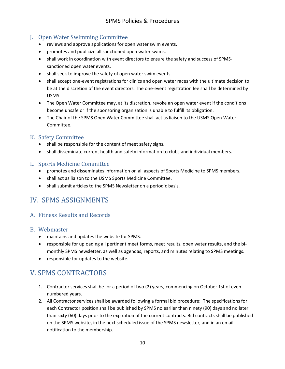# <span id="page-9-0"></span>J. Open Water Swimming Committee

- reviews and approve applications for open water swim events.
- promotes and publicize all sanctioned open water swims.
- shall work in coordination with event directors to ensure the safety and success of SPMSsanctioned open water events.
- shall seek to improve the safety of open water swim events.
- shall accept one-event registrations for clinics and open water races with the ultimate decision to be at the discretion of the event directors. The one-event registration fee shall be determined by USMS.
- The Open Water Committee may, at its discretion, revoke an open water event if the conditions become unsafe or if the sponsoring organization is unable to fulfill its obligation.
- The Chair of the SPMS Open Water Committee shall act as liaison to the USMS Open Water Committee.

#### <span id="page-9-1"></span>K. Safety Committee

- shall be responsible for the content of meet safety signs.
- shall disseminate current health and safety information to clubs and individual members.

#### <span id="page-9-2"></span>L. Sports Medicine Committee

- promotes and disseminates information on all aspects of Sports Medicine to SPMS members.
- shall act as liaison to the USMS Sports Medicine Committee.
- shall submit articles to the SPMS Newsletter on a periodic basis.

# <span id="page-9-3"></span>IV. SPMS ASSIGNMENTS

### <span id="page-9-4"></span>A. Fitness Results and Records

#### <span id="page-9-5"></span>B. Webmaster

- maintains and updates the website for SPMS.
- responsible for uploading all pertinent meet forms, meet results, open water results, and the bimonthly SPMS newsletter, as well as agendas, reports, and minutes relating to SPMS meetings.
- responsible for updates to the website.

# <span id="page-9-6"></span>V. SPMS CONTRACTORS

- 1. Contractor services shall be for a period of two (2) years, commencing on October 1st of even numbered years.
- 2. All Contractor services shall be awarded following a formal bid procedure: The specifications for each Contractor position shall be published by SPMS no earlier than ninety (90) days and no later than sixty (60) days prior to the expiration of the current contracts. Bid contracts shall be published on the SPMS website, in the next scheduled issue of the SPMS newsletter, and in an email notification to the membership.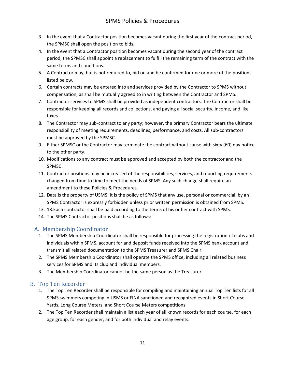- 3. In the event that a Contractor position becomes vacant during the first year of the contract period, the SPMSC shall open the position to bids.
- 4. In the event that a Contractor position becomes vacant during the second year of the contract period, the SPMSC shall appoint a replacement to fulfill the remaining term of the contract with the same terms and conditions.
- 5. A Contractor may, but is not required to, bid on and be confirmed for one or more of the positions listed below.
- 6. Certain contracts may be entered into and services provided by the Contractor to SPMS without compensation, as shall be mutually agreed to in writing between the Contractor and SPMS.
- 7. Contractor services to SPMS shall be provided as independent contractors. The Contractor shall be responsible for keeping all records and collections, and paying all social security, income, and like taxes.
- 8. The Contractor may sub-contract to any party; however, the primary Contractor bears the ultimate responsibility of meeting requirements, deadlines, performance, and costs. All sub-contractors must be approved by the SPMSC.
- 9. Either SPMSC or the Contractor may terminate the contract without cause with sixty (60) day notice to the other party.
- 10. Modifications to any contract must be approved and accepted by both the contractor and the SPMSC.
- 11. Contractor positions may be increased of the responsibilities, services, and reporting requirements changed from time to time to meet the needs of SPMS. Any such change shall require an amendment to these Policies & Procedures.
- 12. Data is the property of USMS. It is the policy of SPMS that any use, personal or commercial, by an SPMS Contractor is expressly forbidden unless prior written permission is obtained from SPMS.
- 13. 13.Each contractor shall be paid according to the terms of his or her contract with SPMS.
- 14. The SPMS Contractor positions shall be as follows:

# <span id="page-10-0"></span>A. Membership Coordinator

- 1. The SPMS Membership Coordinator shall be responsible for processing the registration of clubs and individuals within SPMS, account for and deposit funds received into the SPMS bank account and transmit all related documentation to the SPMS Treasurer and SPMS Chair.
- 2. The SPMS Membership Coordinator shall operate the SPMS office, including all related business services for SPMS and its club and individual members.
- 3. The Membership Coordinator cannot be the same person as the Treasurer.

# <span id="page-10-1"></span>B. Top Ten Recorder

- 1. The Top Ten Recorder shall be responsible for compiling and maintaining annual Top Ten lists for all SPMS swimmers competing in USMS or FINA sanctioned and recognized events in Short Course Yards, Long Course Meters, and Short Course Meters competitions.
- 2. The Top Ten Recorder shall maintain a list each year of all known records for each course, for each age group, for each gender, and for both individual and relay events.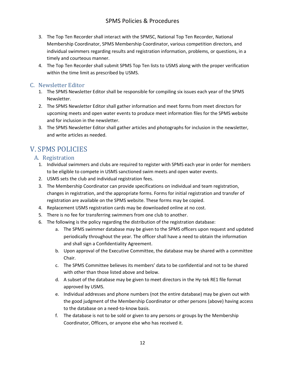- 3. The Top Ten Recorder shall interact with the SPMSC, National Top Ten Recorder, National Membership Coordinator, SPMS Membership Coordinator, various competition directors, and individual swimmers regarding results and registration information, problems, or questions, in a timely and courteous manner.
- 4. The Top Ten Recorder shall submit SPMS Top Ten lists to USMS along with the proper verification within the time limit as prescribed by USMS.

# <span id="page-11-0"></span>C. Newsletter Editor

- 1. The SPMS Newsletter Editor shall be responsible for compiling six issues each year of the SPMS Newsletter.
- 2. The SPMS Newsletter Editor shall gather information and meet forms from meet directors for upcoming meets and open water events to produce meet information files for the SPMS website and for inclusion in the newsletter.
- 3. The SPMS Newsletter Editor shall gather articles and photographs for inclusion in the newsletter, and write articles as needed.

# <span id="page-11-1"></span>V. SPMS POLICIES

# <span id="page-11-2"></span>A. Registration

- 1. Individual swimmers and clubs are required to register with SPMS each year in order for members to be eligible to compete in USMS sanctioned swim meets and open water events.
- 2. USMS sets the club and individual registration fees.
- 3. The Membership Coordinator can provide specifications on individual and team registration, changes in registration, and the appropriate forms. Forms for initial registration and transfer of registration are available on the SPMS website. These forms may be copied.
- 4. Replacement USMS registration cards may be downloaded online at no cost.
- 5. There is no fee for transferring swimmers from one club to another.
- 6. The following is the policy regarding the distribution of the registration database:
	- a. The SPMS swimmer database may be given to the SPMS officers upon request and updated periodically throughout the year. The officer shall have a need to obtain the information and shall sign a Confidentiality Agreement.
	- b. Upon approval of the Executive Committee, the database may be shared with a committee Chair.
	- c. The SPMS Committee believes its members' data to be confidential and not to be shared with other than those listed above and below.
	- d. A subset of the database may be given to meet directors in the Hy-tek RE1 file format approved by USMS.
	- e. Individual addresses and phone numbers (not the entire database) may be given out with the good judgment of the Membership Coordinator or other persons (above) having access to the database on a need-to-know basis.
	- f. The database is not to be sold or given to any persons or groups by the Membership Coordinator, Officers, or anyone else who has received it.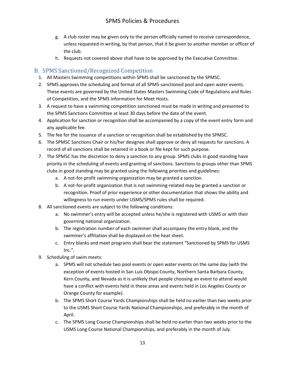- g. A club roster may be given only to the person officially named to receive correspondence, unless requested in writing, by that person, that it be given to another member or officer of the club.
- h. Requests not covered above shall have to be approved by the Executive Committee.

### <span id="page-12-0"></span>B. SPMS Sanctioned/Recognized Competition

- 1. All Masters Swimming competitions within SPMS shall be sanctioned by the SPMSC.
- 2. SPMS approves the scheduling and format of all SPMS-sanctioned pool and open water events. These events are governed by the United States Masters Swimming Code of Regulations and Rules of Competition, and the SPMS Information for Meet Hosts.
- 3. A request to have a swimming competition sanctioned must be made in writing and presented to the SPMS Sanctions Committee at least 30 days before the date of the event.
- 4. Application for sanction or recognition shall be accompanied by a copy of the event entry form and any applicable fee.
- 5. The fee for the issuance of a sanction or recognition shall be established by the SPMSC.
- 6. The SPMSC Sanctions Chair or his/her designee shall approve or deny all requests for sanctions. A record of all sanctions shall be retained in a book or file kept for such purpose.
- 7. The SPMSC has the discretion to deny a sanction to any group. SPMS clubs in good standing have priority in the scheduling of events and granting of sanctions. Sanctions to groups other than SPMS clubs in good standing may be granted using the following priorities and guidelines:
	- a. A not-for-profit swimming organization may be granted a sanction.
	- b. A not-for-profit organization that is not swimming-related may be granted a sanction or recognition. Proof of prior experience or other documentation that shows the ability and willingness to run events under USMS/SPMS rules shall be required.
- 8. All sanctioned events are subject to the following conditions:
	- a. No swimmer's entry will be accepted unless he/she is registered with USMS or with their governing national organization.
	- b. The registration number of each swimmer shall accompany the entry blank, and the swimmer's affiliation shall be displayed on the heat sheet.
	- c. Entry blanks and meet programs shall bear the statement "Sanctioned by SPMS for USMS  $Inc."$ .
- 9. Scheduling of swim meets:
	- a. SPMS will not schedule two pool events or open water events on the same day (with the exception of events hosted in San Luis Obispo County, Northern Santa Barbara County, Kern County, and Nevada as it is unlikely that people choosing an event to attend would have a conflict with events held in these areas and events held in Los Angeles County or Orange County for example).
	- b. The SPMS Short Course Yards Championships shall be held no earlier than two weeks prior to the USMS Short Course Yards National Championships, and preferably in the month of April.
	- c. The SPMS Long Course Championships shall be held no earlier than two weeks prior to the USMS Long Course National Championships, and preferably in the month of July.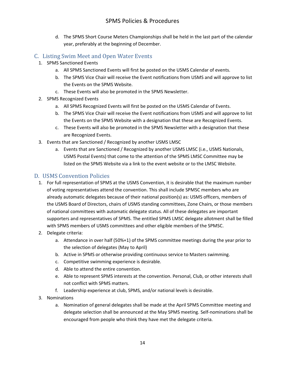d. The SPMS Short Course Meters Championships shall be held in the last part of the calendar year, preferably at the beginning of December.

# <span id="page-13-0"></span>C. Listing Swim Meet and Open Water Events

- 1. SPMS Sanctioned Events
	- a. All SPMS Sanctioned Events will first be posted on the USMS Calendar of events.
	- b. The SPMS Vice Chair will receive the Event notifications from USMS and will approve to list the Events on the SPMS Website.
	- c. These Events will also be promoted in the SPMS Newsletter.
- 2. SPMS Recognized Events
	- a. All SPMS Recognized Events will first be posted on the USMS Calendar of Events.
	- b. The SPMS Vice Chair will receive the Event notifications from USMS and will approve to list the Events on the SPMS Website with a designation that these are Recognized Events.
	- c. These Events will also be promoted in the SPMS Newsletter with a designation that these are Recognized Events.
- 3. Events that are Sanctioned / Recognized by another USMS LMSC
	- a. Events that are Sanctioned / Recognized by another USMS LMSC (i.e., USMS Nationals, USMS Postal Events) that come to the attention of the SPMS LMSC Committee may be listed on the SPMS Website via a link to the event website or to the LMSC Website.

### <span id="page-13-1"></span>D. USMS Convention Policies

- 1. For full representation of SPMS at the USMS Convention, it is desirable that the maximum number of voting representatives attend the convention. This shall include SPMSC members who are already automatic delegates because of their national position(s) as: USMS officers, members of the USMS Board of Directors, chairs of USMS standing committees, Zone Chairs, or those members of national committees with automatic delegate status. All of these delegates are important supporters and representatives of SPMS. The entitled SPMS LMSC delegate allotment shall be filled with SPMS members of USMS committees and other eligible members of the SPMSC.
- 2. Delegate criteria:
	- a. Attendance in over half (50%+1) of the SPMS committee meetings during the year prior to the selection of delegates (May to April)
	- b. Active in SPMS or otherwise providing continuous service to Masters swimming.
	- c. Competitive swimming experience is desirable.
	- d. Able to attend the entire convention.
	- e. Able to represent SPMS interests at the convention. Personal, Club, or other interests shall not conflict with SPMS matters.
	- f. Leadership experience at club, SPMS, and/or national levels is desirable.
- 3. Nominations
	- a. Nomination of general delegates shall be made at the April SPMS Committee meeting and delegate selection shall be announced at the May SPMS meeting. Self-nominations shall be encouraged from people who think they have met the delegate criteria.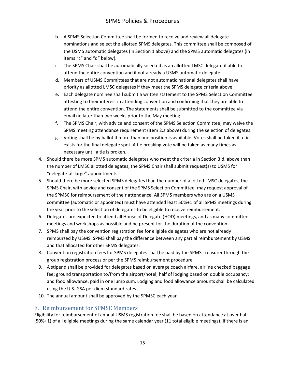- b. A SPMS Selection Committee shall be formed to receive and review all delegate nominations and select the allotted SPMS delegates. This committee shall be composed of the USMS automatic delegates (in Section 1 above) and the SPMS automatic delegates (in items "c" and "d" below).
- c. The SPMS Chair shall be automatically selected as an allotted LMSC delegate if able to attend the entire convention and if not already a USMS automatic delegate.
- d. Members of USMS Committees that are not automatic national delegates shall have priority as allotted LMSC delegates if they meet the SPMS delegate criteria above.
- e. Each delegate nominee shall submit a written statement to the SPMS Selection Committee attesting to their interest in attending convention and confirming that they are able to attend the entire convention. The statements shall be submitted to the committee via email no later than two weeks prior to the May meeting.
- f. The SPMS Chair, with advice and consent of the SPMS Selection Committee, may waive the SPMS meeting attendance requirement (item 2.a above) during the selection of delegates.
- g. Voting shall be by ballot if more than one position is available. Votes shall be taken if a tie exists for the final delegate spot. A tie breaking vote will be taken as many times as necessary until a tie is broken.
- 4. Should there be more SPMS automatic delegates who meet the criteria in Section 3.d. above than the number of LMSC allotted delegates, the SPMS Chair shall submit request(s) to USMS for "delegate-at-large" appointments.
- 5. Should there be more selected SPMS delegates than the number of allotted LMSC delegates, the SPMS Chair, with advice and consent of the SPMS Selection Committee, may request approval of the SPMSC for reimbursement of their attendance. All SPMS members who are on a USMS committee (automatic or appointed) must have attended least 50%+1 of all SPMS meetings during the year prior to the selection of delegates to be eligible to receive reimbursement.
- 6. Delegates are expected to attend all House of Delegate (HOD) meetings, and as many committee meetings and workshops as possible and be present for the duration of the convention.
- 7. SPMS shall pay the convention registration fee for eligible delegates who are not already reimbursed by USMS. SPMS shall pay the difference between any partial reimbursement by USMS and that allocated for other SPMS delegates.
- 8. Convention registration fees for SPMS delegates shall be paid by the SPMS Treasurer through the group registration process or per the SPMS reimbursement procedure.
- 9. A stipend shall be provided for delegates based on average coach airfare, airline checked baggage fee; ground transportation to/from the airport/hotel; half of lodging based on double occupancy; and food allowance, paid in one lump sum. Lodging and food allowance amounts shall be calculated using the U.S. GSA per diem standard rates.
- 10. The annual amount shall be approved by the SPMSC each year.

### <span id="page-14-0"></span>E. Reimbursement for SPMSC Members

Eligibility for reimbursement of annual USMS registration fee shall be based on attendance at over half (50%+1) of all eligible meetings during the same calendar year (11 total eligible meetings); if there is an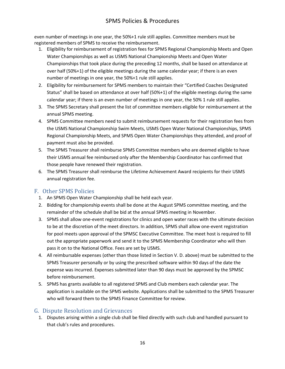even number of meetings in one year, the 50%+1 rule still applies. Committee members must be registered members of SPMS to receive the reimbursement.

- 1. Eligibility for reimbursement of registration fees for SPMS Regional Championship Meets and Open Water Championships as well as USMS National Championship Meets and Open Water Championships that took place during the preceding 12 months, shall be based on attendance at over half (50%+1) of the eligible meetings during the same calendar year; if there is an even number of meetings in one year, the 50%+1 rule still applies.
- 2. Eligibility for reimbursement for SPMS members to maintain their "Certified Coaches Designated Status" shall be based on attendance at over half (50%+1) of the eligible meetings during the same calendar year; if there is an even number of meetings in one year, the 50% 1 rule still applies.
- 3. The SPMS Secretary shall present the list of committee members eligible for reimbursement at the annual SPMS meeting.
- 4. SPMS Committee members need to submit reimbursement requests for their registration fees from the USMS National Championship Swim Meets, USMS Open Water National Championships, SPMS Regional Championship Meets, and SPMS Open Water Championships they attended, and proof of payment must also be provided.
- 5. The SPMS Treasurer shall reimburse SPMS Committee members who are deemed eligible to have their USMS annual fee reimbursed only after the Membership Coordinator has confirmed that those people have renewed their registration.
- 6. The SPMS Treasurer shall reimburse the Lifetime Achievement Award recipients for their USMS annual registration fee.

### <span id="page-15-0"></span>F. Other SPMS Policies

- 1. An SPMS Open Water Championship shall be held each year.
- 2. Bidding for championship events shall be done at the August SPMS committee meeting, and the remainder of the schedule shall be bid at the annual SPMS meeting in November.
- 3. SPMS shall allow one-event registrations for clinics and open water races with the ultimate decision to be at the discretion of the meet directors. In addition, SPMS shall allow one-event registration for pool meets upon approval of the SPMSC Executive Committee. The meet host is required to fill out the appropriate paperwork and send it to the SPMS Membership Coordinator who will then pass it on to the National Office. Fees are set by USMS.
- 4. All reimbursable expenses (other than those listed in Section V. D. above) must be submitted to the SPMS Treasurer personally or by using the prescribed software within 90 days of the date the expense was incurred. Expenses submitted later than 90 days must be approved by the SPMSC before reimbursement.
- 5. SPMS has grants available to all registered SPMS and Club members each calendar year. The application is available on the SPMS website. Applications shall be submitted to the SPMS Treasurer who will forward them to the SPMS Finance Committee for review.

# <span id="page-15-1"></span>G. Dispute Resolution and Grievances

1. Disputes arising within a single club shall be filed directly with such club and handled pursuant to that club's rules and procedures.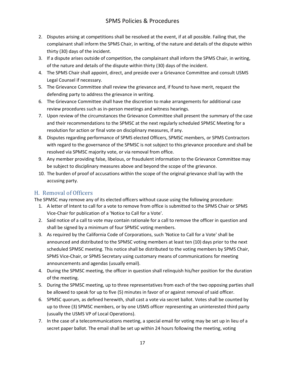- 2. Disputes arising at competitions shall be resolved at the event, if at all possible. Failing that, the complainant shall inform the SPMS Chair, in writing, of the nature and details of the dispute within thirty (30) days of the incident.
- 3. If a dispute arises outside of competition, the complainant shall inform the SPMS Chair, in writing, of the nature and details of the dispute within thirty (30) days of the incident.
- 4. The SPMS Chair shall appoint, direct, and preside over a Grievance Committee and consult USMS Legal Counsel if necessary.
- 5. The Grievance Committee shall review the grievance and, if found to have merit, request the defending party to address the grievance in writing.
- 6. The Grievance Committee shall have the discretion to make arrangements for additional case review procedures such as in-person meetings and witness hearings.
- 7. Upon review of the circumstances the Grievance Committee shall present the summary of the case and their recommendations to the SPMSC at the next regularly scheduled SPMSC Meeting for a resolution for action or final vote on disciplinary measures, if any.
- 8. Disputes regarding performance of SPMS elected Officers, SPMSC members, or SPMS Contractors with regard to the governance of the SPMSC is not subject to this grievance procedure and shall be resolved via SPMSC majority vote, or via removal from office.
- 9. Any member providing false, libelous, or fraudulent information to the Grievance Committee may be subject to disciplinary measures above and beyond the scope of the grievance.
- 10. The burden of proof of accusations within the scope of the original grievance shall lay with the accusing party.

### <span id="page-16-0"></span>H. Removal of Officers

The SPMSC may remove any of its elected officers without cause using the following procedure:

- 1. A letter of Intent to call for a vote to remove from office is submitted to the SPMS Chair or SPMS Vice-Chair for publication of a 'Notice to Call for a Vote'.
- 2. Said notice of a call to vote may contain rationale for a call to remove the officer in question and shall be signed by a minimum of four SPMSC voting members.
- 3. As required by the California Code of Corporations, such 'Notice to Call for a Vote' shall be announced and distributed to the SPMSC voting members at least ten (10) days prior to the next scheduled SPMSC meeting. This notice shall be distributed to the voting members by SPMS Chair, SPMS Vice-Chair, or SPMS Secretary using customary means of communications for meeting announcements and agendas (usually email).
- 4. During the SPMSC meeting, the officer in question shall relinquish his/her position for the duration of the meeting.
- 5. During the SPMSC meeting, up to three representatives from each of the two opposing parties shall be allowed to speak for up to five (5) minutes in favor of or against removal of said officer.
- 6. SPMSC quorum, as defined herewith, shall cast a vote via secret ballot. Votes shall be counted by up to three (3) SPMSC members, or by one USMS officer representing an uninterested third party (usually the USMS VP of Local Operations).
- 7. In the case of a telecommunications meeting, a special email for voting may be set up in lieu of a secret paper ballot. The email shall be set up within 24 hours following the meeting, voting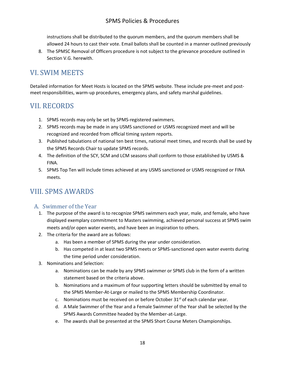instructions shall be distributed to the quorum members, and the quorum members shall be allowed 24 hours to cast their vote. Email ballots shall be counted in a manner outlined previously

8. The SPMSC Removal of Officers procedure is not subject to the grievance procedure outlined in Section V.G. herewith.

# <span id="page-17-0"></span>VI. SWIM MEETS

Detailed information for Meet Hosts is located on the SPMS website. These include pre-meet and postmeet responsibilities, warm-up procedures, emergency plans, and safety marshal guidelines.

# <span id="page-17-1"></span>VII. RECORDS

- 1. SPMS records may only be set by SPMS-registered swimmers.
- 2. SPMS records may be made in any USMS sanctioned or USMS recognized meet and will be recognized and recorded from official timing system reports.
- 3. Published tabulations of national ten best times, national meet times, and records shall be used by the SPMS Records Chair to update SPMS records.
- 4. The definition of the SCY, SCM and LCM seasons shall conform to those established by USMS & FINA.
- 5. SPMS Top Ten will include times achieved at any USMS sanctioned or USMS recognized or FINA meets.

# <span id="page-17-2"></span>VIII. SPMS AWARDS

# <span id="page-17-3"></span>A. Swimmer of the Year

- 1. The purpose of the award is to recognize SPMS swimmers each year, male, and female, who have displayed exemplary commitment to Masters swimming, achieved personal success at SPMS swim meets and/or open water events, and have been an inspiration to others.
- 2. The criteria for the award are as follows:
	- a. Has been a member of SPMS during the year under consideration.
	- b. Has competed in at least two SPMS meets or SPMS-sanctioned open water events during the time period under consideration.
- 3. Nominations and Selection:
	- a. Nominations can be made by any SPMS swimmer or SPMS club in the form of a written statement based on the criteria above.
	- b. Nominations and a maximum of four supporting letters should be submitted by email to the SPMS Member-At-Large or mailed to the SPMS Membership Coordinator.
	- c. Nominations must be received on or before October  $31<sup>st</sup>$  of each calendar year.
	- d. A Male Swimmer of the Year and a Female Swimmer of the Year shall be selected by the SPMS Awards Committee headed by the Member-at-Large.
	- e. The awards shall be presented at the SPMS Short Course Meters Championships.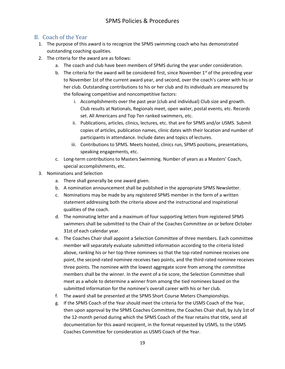# <span id="page-18-0"></span>B. Coach of the Year

- 1. The purpose of this award is to recognize the SPMS swimming coach who has demonstrated outstanding coaching qualities.
- 2. The criteria for the award are as follows:
	- a. The coach and club have been members of SPMS during the year under consideration.
	- b. The criteria for the award will be considered first, since November  $1<sup>st</sup>$  of the preceding year to November 1st of the current award year, and second, over the coach's career with his or her club. Outstanding contributions to his or her club and its individuals are measured by the following competitive and noncompetitive factors:
		- i. Accomplishments over the past year (club and individual) Club size and growth. Club results at Nationals, Regionals meet, open water, postal events, etc. Records set. All Americans and Top Ten ranked swimmers, etc.
		- ii. Publications, articles, clinics, lectures, etc. that are for SPMS and/or USMS. Submit copies of articles, publication names, clinic dates with their location and number of participants in attendance. Include dates and topics of lectures.
		- iii. Contributions to SPMS. Meets hosted, clinics run, SPMS positions, presentations, speaking engagements, etc.
	- c. Long-term contributions to Masters Swimming. Number of years as a Masters' Coach, special accomplishments, etc.
- 3. Nominations and Selection
	- a. There shall generally be one award given.
	- b. A nomination announcement shall be published in the appropriate SPMS Newsletter.
	- c. Nominations may be made by any registered SPMS member in the form of a written statement addressing both the criteria above and the instructional and inspirational qualities of the coach.
	- d. The nominating letter and a maximum of four supporting letters from registered SPMS swimmers shall be submitted to the Chair of the Coaches Committee on or before October 31st of each calendar year.
	- e. The Coaches Chair shall appoint a Selection Committee of three members. Each committee member will separately evaluate submitted information according to the criteria listed above, ranking his or her top three nominees so that the top-rated nominee receives one point, the second-rated nominee receives two points, and the third-rated nominee receives three points. The nominee with the lowest aggregate score from among the committee members shall be the winner. In the event of a tie score, the Selection Committee shall meet as a whole to determine a winner from among the tied nominees based on the submitted information for the nominee's overall career with his or her club.
	- f. The award shall be presented at the SPMS Short Course Meters Championships.
	- g. If the SPMS Coach of the Year should meet the criteria for the USMS Coach of the Year, then upon approval by the SPMS Coaches Committee, the Coaches Chair shall, by July 1st of the 12-month period during which the SPMS Coach of the Year retains that title, send all documentation for this award recipient, in the format requested by USMS, to the USMS Coaches Committee for consideration as USMS Coach of the Year.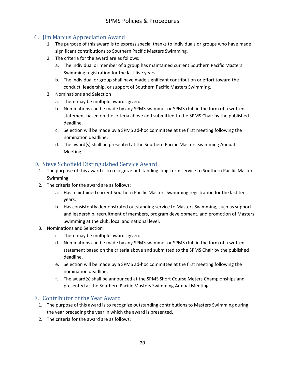# <span id="page-19-0"></span>C. Jim Marcus Appreciation Award

- 1. The purpose of this award is to express special thanks to individuals or groups who have made significant contributions to Southern Pacific Masters Swimming.
- 2. The criteria for the award are as follows:
	- a. The individual or member of a group has maintained current Southern Pacific Masters Swimming registration for the last five years.
	- b. The individual or group shall have made significant contribution or effort toward the conduct, leadership, or support of Southern Pacific Masters Swimming.
- 3. Nominations and Selection
	- a. There may be multiple awards given.
	- b. Nominations can be made by any SPMS swimmer or SPMS club in the form of a written statement based on the criteria above and submitted to the SPMS Chair by the published deadline.
	- c. Selection will be made by a SPMS ad-hoc committee at the first meeting following the nomination deadline.
	- d. The award(s) shall be presented at the Southern Pacific Masters Swimming Annual Meeting.

# <span id="page-19-1"></span>D. Steve Schofield Distinguished Service Award

- 1. The purpose of this award is to recognize outstanding long-term service to Southern Pacific Masters Swimming.
- 2. The criteria for the award are as follows:
	- a. Has maintained current Southern Pacific Masters Swimming registration for the last ten years.
	- b. Has consistently demonstrated outstanding service to Masters Swimming, such as support and leadership, recruitment of members, program development, and promotion of Masters Swimming at the club, local and national level.
- 3. Nominations and Selection
	- c. There may be multiple awards given.
	- d. Nominations can be made by any SPMS swimmer or SPMS club in the form of a written statement based on the criteria above and submitted to the SPMS Chair by the published deadline.
	- e. Selection will be made by a SPMS ad-hoc committee at the first meeting following the nomination deadline.
	- f. The award(s) shall be announced at the SPMS Short Course Meters Championships and presented at the Southern Pacific Masters Swimming Annual Meeting.

# <span id="page-19-2"></span>E. Contributor of the Year Award

- 1. The purpose of this award is to recognize outstanding contributions to Masters Swimming during the year preceding the year in which the award is presented.
- 2. The criteria for the award are as follows: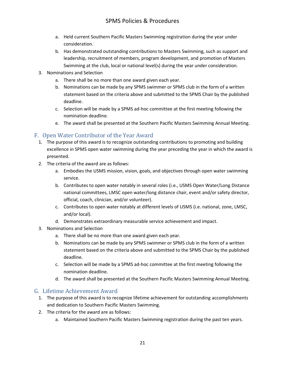- a. Held current Southern Pacific Masters Swimming registration during the year under consideration.
- b. Has demonstrated outstanding contributions to Masters Swimming, such as support and leadership, recruitment of members, program development, and promotion of Masters Swimming at the club, local or national level(s) during the year under consideration.
- 3. Nominations and Selection
	- a. There shall be no more than one award given each year.
	- b. Nominations can be made by any SPMS swimmer or SPMS club in the form of a written statement based on the criteria above and submitted to the SPMS Chair by the published deadline.
	- c. Selection will be made by a SPMS ad-hoc committee at the first meeting following the nomination deadline.
	- e. The award shall be presented at the Southern Pacific Masters Swimming Annual Meeting.

### <span id="page-20-0"></span>F. Open Water Contributor of the Year Award

- 1. The purpose of this award is to recognize outstanding contributions to promoting and building excellence in SPMS open water swimming during the year preceding the year in which the award is presented.
- 2. The criteria of the award are as follows:
	- a. Embodies the USMS mission, vision, goals, and objectives through open water swimming service.
	- b. Contributes to open water notably in several roles (i.e., USMS Open Water/Long Distance national committees, LMSC open water/long distance chair, event and/or safety director, official, coach, clinician, and/or volunteer).
	- c. Contributes to open water notably at different levels of USMS (i.e. national, zone, LMSC, and/or local).
	- d. Demonstrates extraordinary measurable service achievement and impact.
- 3. Nominations and Selection
	- a. There shall be no more than one award given each year.
	- b. Nominations can be made by any SPMS swimmer or SPMS club in the form of a written statement based on the criteria above and submitted to the SPMS Chair by the published deadline.
	- c. Selection will be made by a SPMS ad-hoc committee at the first meeting following the nomination deadline.
	- d. The award shall be presented at the Southern Pacific Masters Swimming Annual Meeting.

### <span id="page-20-1"></span>G. Lifetime Achievement Award

- 1. The purpose of this award is to recognize lifetime achievement for outstanding accomplishments and dedication to Southern Pacific Masters Swimming.
- 2. The criteria for the award are as follows:
	- a. Maintained Southern Pacific Masters Swimming registration during the past ten years.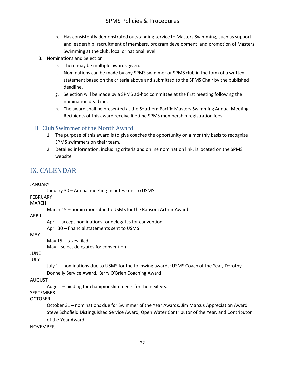- b. Has consistently demonstrated outstanding service to Masters Swimming, such as support and leadership, recruitment of members, program development, and promotion of Masters Swimming at the club, local or national level.
- 3. Nominations and Selection
	- e. There may be multiple awards given.
	- f. Nominations can be made by any SPMS swimmer or SPMS club in the form of a written statement based on the criteria above and submitted to the SPMS Chair by the published deadline.
	- g. Selection will be made by a SPMS ad-hoc committee at the first meeting following the nomination deadline.
	- h. The award shall be presented at the Southern Pacific Masters Swimming Annual Meeting.
	- i. Recipients of this award receive lifetime SPMS membership registration fees.

### <span id="page-21-0"></span>H. Club Swimmer of the Month Award

- 1. The purpose of this award is to give coaches the opportunity on a monthly basis to recognize SPMS swimmers on their team.
- 2. Detailed information, including criteria and online nomination link, is located on the SPMS website.

# <span id="page-21-1"></span>IX. CALENDAR

| <b>JANUARY</b>   |                                                                                                  |
|------------------|--------------------------------------------------------------------------------------------------|
|                  | January 30 - Annual meeting minutes sent to USMS                                                 |
| <b>FEBRUARY</b>  |                                                                                                  |
| <b>MARCH</b>     |                                                                                                  |
|                  | March 15 - nominations due to USMS for the Ransom Arthur Award                                   |
| APRIL            |                                                                                                  |
|                  | April - accept nominations for delegates for convention                                          |
|                  | April 30 - financial statements sent to USMS                                                     |
| MAY              |                                                                                                  |
|                  | May $15 -$ taxes filed                                                                           |
|                  | May - select delegates for convention                                                            |
| <b>JUNE</b>      |                                                                                                  |
| <b>JULY</b>      |                                                                                                  |
|                  | July 1 - nominations due to USMS for the following awards: USMS Coach of the Year, Dorothy       |
|                  | Donnelly Service Award, Kerry O'Brien Coaching Award                                             |
| AUGUST           |                                                                                                  |
|                  | August – bidding for championship meets for the next year                                        |
| <b>SEPTEMBER</b> |                                                                                                  |
| <b>OCTOBER</b>   |                                                                                                  |
|                  | October 31 - nominations due for Swimmer of the Year Awards, Jim Marcus Appreciation Award,      |
|                  | Steve Schofield Distinguished Service Award, Open Water Contributor of the Year, and Contributor |
|                  | of the Year Award                                                                                |
| <b>NOVEMBER</b>  |                                                                                                  |
|                  |                                                                                                  |
|                  |                                                                                                  |